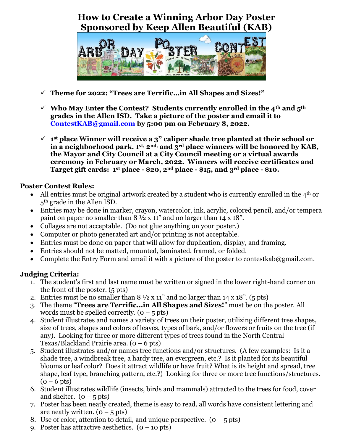## **How to Create a Winning Arbor Day Poster Sponsored by Keep Allen Beautiful (KAB)**



- ✓ **Theme for 2022: "Trees are Terrific…in All Shapes and Sizes!"**
- ✓ **Who May Enter the Contest? Students currently enrolled in the 4th and 5th grades in the Allen ISD. Take a picture of the poster and email it to [ContestKAB@gmail.com](mailto:ContestKAB@gmail.com) by 5:00 pm on February 8, 2022.**
- ✓ **1 st place Winner will receive a 3" caliper shade tree planted at their school or in a neighborhood park. 1st, 2nd, and 3rd place winners will be honored by KAB, the Mayor and City Council at a City Council meeting or a virtual awards ceremony in February or March, 2022. Winners will receive certificates and Target gift cards: 1st place - \$20, 2nd place - \$15, and 3rd place - \$10.**

## **Poster Contest Rules:**

- All entries must be original artwork created by a student who is currently enrolled in the 4<sup>th</sup> or 5th grade in the Allen ISD.
- Entries may be done in marker, crayon, watercolor, ink, acrylic, colored pencil, and/or tempera paint on paper no smaller than 8 ½ x 11" and no larger than 14 x 18".
- Collages are not acceptable. (Do not glue anything on your poster.)
- Computer or photo generated art and/or printing is not acceptable.
- Entries must be done on paper that will allow for duplication, display, and framing.
- Entries should not be matted, mounted, laminated, framed, or folded.
- Complete the Entry Form and email it with a picture of the poster to contestkab@gmail.com.

## **Judging Criteria:**

- 1. The student's first and last name must be written or signed in the lower right-hand corner on the front of the poster. (5 pts)
- 2. Entries must be no smaller than  $8\frac{1}{2} \times 11$ " and no larger than 14 x 18". (5 pts)
- 3. The theme "**Trees are Terrific…in All Shapes and Sizes!**" must be on the poster. All words must be spelled correctly.  $(0 - 5$  pts)
- 4. Student illustrates and names a variety of trees on their poster, utilizing different tree shapes, size of trees, shapes and colors of leaves, types of bark, and/or flowers or fruits on the tree (if any). Looking for three or more different types of trees found in the North Central Texas/Blackland Prairie area.  $(0 - 6$  pts)
- 5. Student illustrates and/or names tree functions and/or structures. (A few examples: Is it a shade tree, a windbreak tree, a hardy tree, an evergreen, etc.? Is it planted for its beautiful blooms or leaf color? Does it attract wildlife or have fruit? What is its height and spread, tree shape, leaf type, branching pattern, etc.?) Looking for three or more tree functions/structures.  $(0 - 6$  pts)
- 6. Student illustrates wildlife (insects, birds and mammals) attracted to the trees for food, cover and shelter.  $(0 - 5 \text{ pts})$
- 7. Poster has been neatly created, theme is easy to read, all words have consistent lettering and are neatly written.  $(0 - 5 \text{ pts})$
- 8. Use of color, attention to detail, and unique perspective.  $(0 5$  pts)
- 9. Poster has attractive aesthetics.  $(0 10 \text{ pts})$